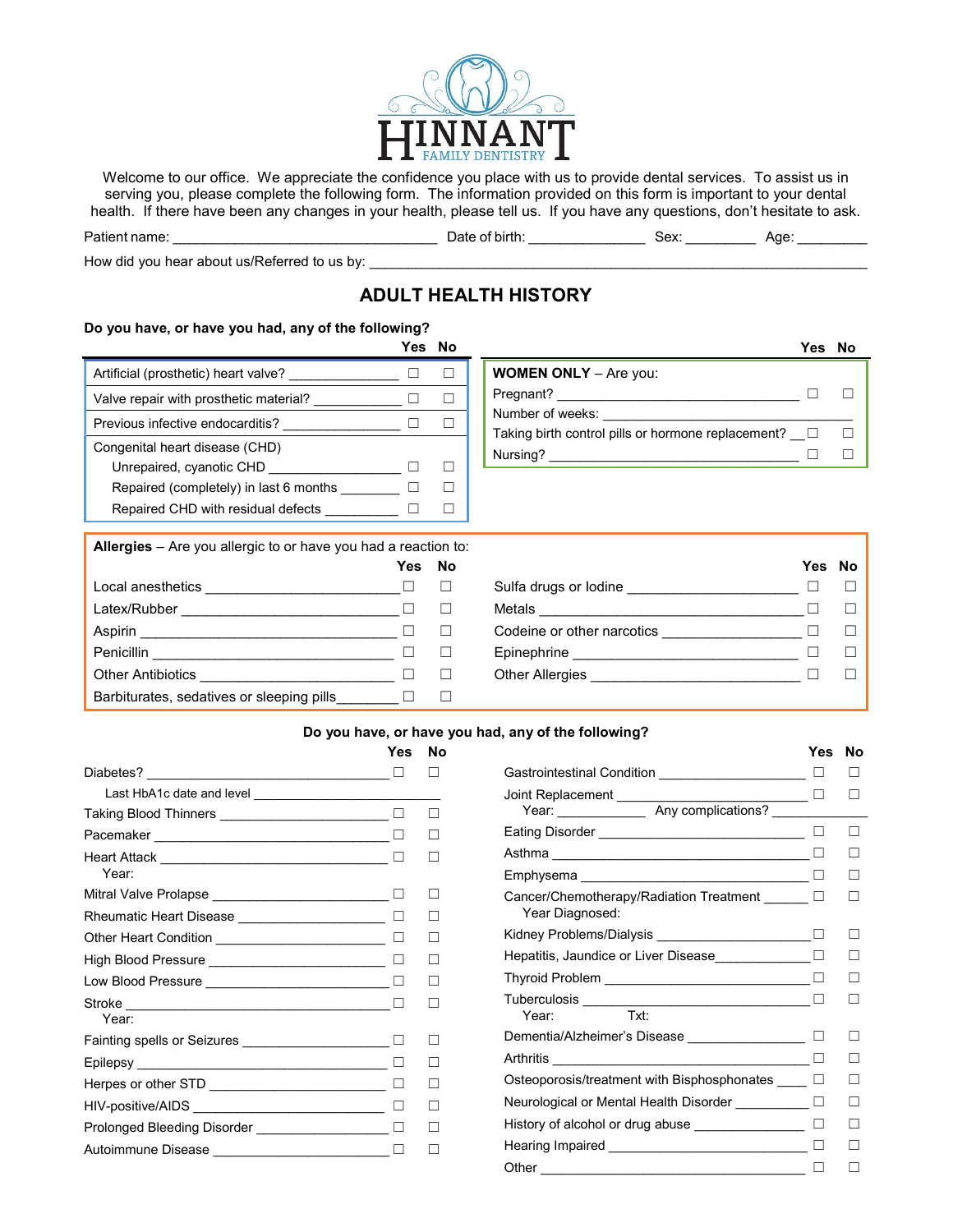

Welcome to our office. We appreciate the confidence you place with us to provide dental services. To assist us in serving you, please complete the following form. The information provided on this form is important to your dental health. If there have been any changes in your health, please tell us. If you have any questions, don't hesitate to ask.

| Patient name:                                | Date of birth: | Sex: | Aae |
|----------------------------------------------|----------------|------|-----|
| How did you hear about us/Referred to us by: |                |      |     |

# ADULT HEALTH HISTORY

#### Do you have, or have you had, any of the following?

|                                        | Yes |  |
|----------------------------------------|-----|--|
| Artificial (prosthetic) heart valve?   |     |  |
| Valve repair with prosthetic material? |     |  |
| Previous infective endocarditis?       |     |  |
| Congenital heart disease (CHD)         |     |  |
| Unrepaired, cyanotic CHD               |     |  |
| Repaired (completely) in last 6 months |     |  |
| Repaired CHD with residual defects     |     |  |
|                                        |     |  |

|                                                    | Yes No |  |
|----------------------------------------------------|--------|--|
| <b>WOMEN ONLY</b> - Are you:                       |        |  |
| Pregnant?                                          |        |  |
| Number of weeks:                                   |        |  |
| Taking birth control pills or hormone replacement? |        |  |
| Nursing?                                           |        |  |

| <b>Allergies</b> – Are you allergic to or have you had a reaction to: |        |  |
|-----------------------------------------------------------------------|--------|--|
|                                                                       | Yes No |  |

|                                           | . |
|-------------------------------------------|---|
| Local anesthetics                         |   |
| Latex/Rubber                              |   |
| Aspirin                                   |   |
| Penicillin                                |   |
| <b>Other Antibiotics</b>                  |   |
| Barbiturates, sedatives or sleeping pills |   |

| $\frac{1}{2}$ and $\frac{1}{2}$ and $\frac{1}{2}$ and $\frac{1}{2}$ and $\frac{1}{2}$ and $\frac{1}{2}$ and $\frac{1}{2}$ and $\frac{1}{2}$ and $\frac{1}{2}$ |      |    |                            |        |  |
|---------------------------------------------------------------------------------------------------------------------------------------------------------------|------|----|----------------------------|--------|--|
|                                                                                                                                                               | Yes. | No |                            | Yes No |  |
| Local anesthetics                                                                                                                                             |      |    | Sulfa drugs or lodine      |        |  |
| Latex/Rubber                                                                                                                                                  |      | П  | Metals                     |        |  |
| Aspirin                                                                                                                                                       |      | П  | Codeine or other narcotics |        |  |
| Penicillin                                                                                                                                                    | H    | □  | Epinephrine                |        |  |
| Other Antibiotics                                                                                                                                             |      |    | Other Allergies            |        |  |
|                                                                                                                                                               |      |    |                            |        |  |

#### Do you have, or have you had, any of the following?

|                                                    | Yes | Nο |
|----------------------------------------------------|-----|----|
| Diabetes? _______________________________          |     |    |
|                                                    |     |    |
| Taking Blood Thinners __________________________   | П   |    |
|                                                    |     |    |
| Year:                                              |     |    |
| Mitral Valve Prolapse ____________________________ |     |    |
| Rheumatic Heart Disease _______________________    |     |    |
| Other Heart Condition ____________________________ |     |    |
| High Blood Pressure ____________________________   |     |    |
| Low Blood Pressure _______________________________ |     |    |
|                                                    |     |    |
| Year:                                              |     |    |
|                                                    |     |    |
|                                                    |     |    |
|                                                    |     |    |
|                                                    |     |    |
| Prolonged Bleeding Disorder __________________     |     |    |
| Autoimmune Disease ____________________________    |     |    |
|                                                    |     |    |

| Yes                      | No |                                                       | Yes    | No |
|--------------------------|----|-------------------------------------------------------|--------|----|
| $\Box$                   |    | Gastrointestinal Condition ______________________     | □      |    |
|                          |    | Joint Replacement ________________________________ □  |        |    |
| $\_$ $\Box$              | П  |                                                       |        |    |
| $\Box$                   |    |                                                       |        |    |
| $\Box$                   |    |                                                       |        |    |
|                          |    |                                                       |        |    |
| $\overline{\phantom{a}}$ |    | Cancer/Chemotherapy/Radiation Treatment ______ 0      |        |    |
| - 13                     |    | Year Diagnosed:                                       |        |    |
|                          |    |                                                       |        |    |
| $\overline{\phantom{a}}$ |    |                                                       |        |    |
| $\Box$                   |    | Thyroid Problem __________________________________ □  |        |    |
| $\Box$                   |    |                                                       | $\Box$ |    |
|                          |    |                                                       |        |    |
| $\_ \Box$                |    | Dementia/Alzheimer's Disease __________________ □     |        |    |
|                          |    |                                                       |        |    |
|                          |    | Osteoporosis/treatment with Bisphosphonates _____ □   |        |    |
| $\overline{\phantom{a}}$ |    | Neurological or Mental Health Disorder __________ □   |        |    |
| $\Box$                   |    |                                                       |        |    |
| $\Box$                   |    | Hearing Impaired __________________________________ □ |        |    |
|                          |    |                                                       |        |    |
|                          |    |                                                       |        |    |